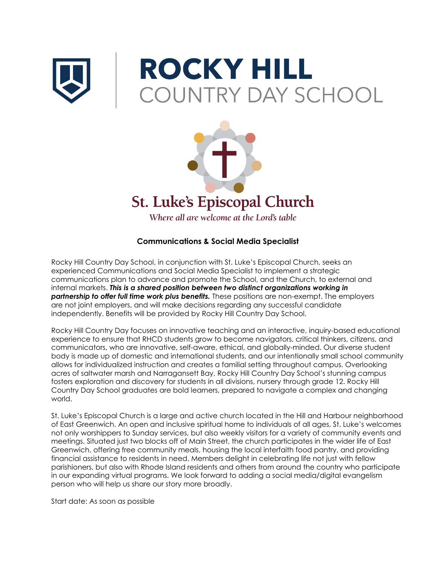

# **ROCKY HILL COUNTRY DAY SCHOOL**



## **Communications & Social Media Specialist**

Rocky Hill Country Day School, in conjunction with St. Luke's Episcopal Church, seeks an experienced Communications and Social Media Specialist to implement a strategic communications plan to advance and promote the School, and the Church, to external and internal markets. *This is a shared position between two distinct organizations working in partnership to offer full time work plus benefits.* These positions are non-exempt. The employers are not joint employers, and will make decisions regarding any successful candidate independently. Benefits will be provided by Rocky Hill Country Day School.

Rocky Hill Country Day focuses on innovative teaching and an interactive, inquiry-based educational experience to ensure that RHCD students grow to become navigators, critical thinkers, citizens, and communicators, who are innovative, self-aware, ethical, and globally-minded. Our diverse student body is made up of domestic and international students, and our intentionally small school community allows for individualized instruction and creates a familial setting throughout campus. Overlooking acres of saltwater marsh and Narragansett Bay, Rocky Hill Country Day School's stunning campus fosters exploration and discovery for students in all divisions, nursery through grade 12. Rocky Hill Country Day School graduates are bold learners, prepared to navigate a complex and changing world.

St. Luke's Episcopal Church is a large and active church located in the Hill and Harbour neighborhood of East Greenwich. An open and inclusive spiritual home to individuals of all ages, St. Luke's welcomes not only worshippers to Sunday services, but also weekly visitors for a variety of community events and meetings. Situated just two blocks off of Main Street, the church participates in the wider life of East Greenwich, offering free community meals, housing the local interfaith food pantry, and providing financial assistance to residents in need. Members delight in celebrating life not just with fellow parishioners, but also with Rhode Island residents and others from around the country who participate in our expanding virtual programs. We look forward to adding a social media/digital evangelism person who will help us share our story more broadly.

Start date: As soon as possible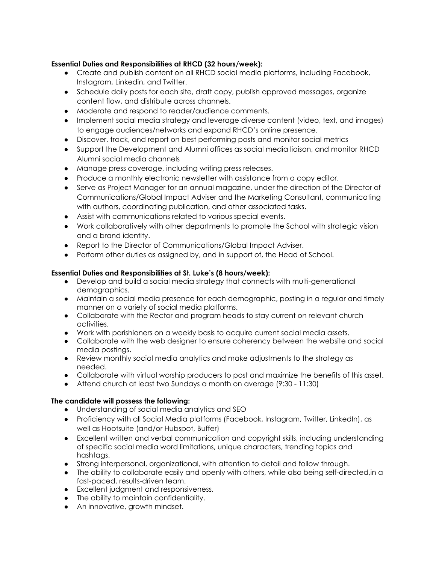### **Essential Duties and Responsibilities at RHCD (32 hours/week):**

- Create and publish content on all RHCD social media platforms, including Facebook, Instagram, Linkedin, and Twitter.
- Schedule daily posts for each site, draft copy, publish approved messages, organize content flow, and distribute across channels.
- Moderate and respond to reader/audience comments.
- Implement social media strategy and leverage diverse content (video, text, and images) to engage audiences/networks and expand RHCD's online presence.
- Discover, track, and report on best performing posts and monitor social metrics
- Support the Development and Alumni offices as social media liaison, and monitor RHCD Alumni social media channels
- Manage press coverage, including writing press releases.
- Produce a monthly electronic newsletter with assistance from a copy editor.
- Serve as Project Manager for an annual magazine, under the direction of the Director of Communications/Global Impact Adviser and the Marketing Consultant, communicating with authors, coordinating publication, and other associated tasks.
- Assist with communications related to various special events.
- Work collaboratively with other departments to promote the School with strategic vision and a brand identity.
- Report to the Director of Communications/Global Impact Adviser.
- Perform other duties as assigned by, and in support of, the Head of School.

### **Essential Duties and Responsibilities at St. Luke's (8 hours/week):**

- Develop and build a social media strategy that connects with multi-generational demographics.
- Maintain a social media presence for each demographic, posting in a regular and timely manner on a variety of social media platforms.
- Collaborate with the Rector and program heads to stay current on relevant church activities.
- Work with parishioners on a weekly basis to acquire current social media assets.
- Collaborate with the web designer to ensure coherency between the website and social media postings.
- Review monthly social media analytics and make adjustments to the strategy as needed.
- Collaborate with virtual worship producers to post and maximize the benefits of this asset.
- Attend church at least two Sundays a month on average (9:30 11:30)

### **The candidate will possess the following:**

- Understanding of social media analytics and SEO
- Proficiency with all Social Media platforms (Facebook, Instagram, Twitter, LinkedIn), as well as Hootsuite (and/or Hubspot, Buffer)
- Excellent written and verbal communication and copyright skills, including understanding of specific social media word limitations, unique characters, trending topics and hashtags.
- Strong interpersonal, organizational, with attention to detail and follow through.
- The ability to collaborate easily and openly with others, while also being self-directed,in a fast-paced, results-driven team.
- Excellent judgment and responsiveness.
- The ability to maintain confidentiality.
- An innovative, growth mindset.